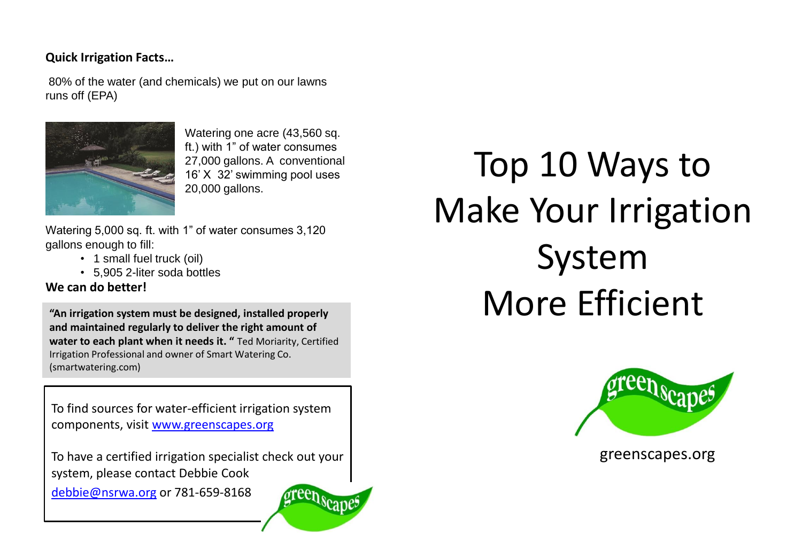## **Quick Irrigation Facts…**

80% of the water (and chemicals) we put on our lawns runs off (EPA)



Watering one acre (43,560 sq. ft.) with 1" of water consumes 27,000 gallons. A conventional 16' X 32' swimming pool uses 20,000 gallons.

Watering 5,000 sq. ft. with 1" of water consumes 3,120 gallons enough to fill:

- 1 small fuel truck (oil)
- 5,905 2-liter soda bottles

**We can do better!**

**"An irrigation system must be designed, installed properly and maintained regularly to deliver the right amount of water to each plant when it needs it. "** Ted Moriarity, Certified Irrigation Professional and owner of Smart Watering Co. (smartwatering.com)

To find sources for water-efficient irrigation system components, visit [www.greenscapes.org](http://www.greenscapes.org/)

To have a certified irrigation specialist check out your system, please contact Debbie Cook

[debbie@nsrwa.org](mailto:debbie@nsrwa.org) or 781-659-8168



Top 10 Ways to Make Your Irrigation System More Efficient



greenscapes.org